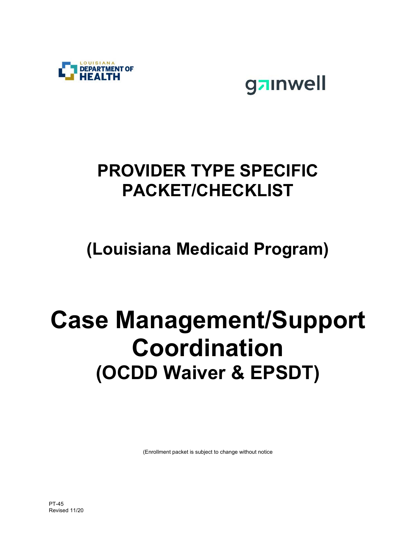

gainwell

# **PROVIDER TYPE SPECIFIC PACKET/CHECKLIST**

# **(Louisiana Medicaid Program)**

# **Case Management/Support Coordination (OCDD Waiver & EPSDT)**

(Enrollment packet is subject to change without notice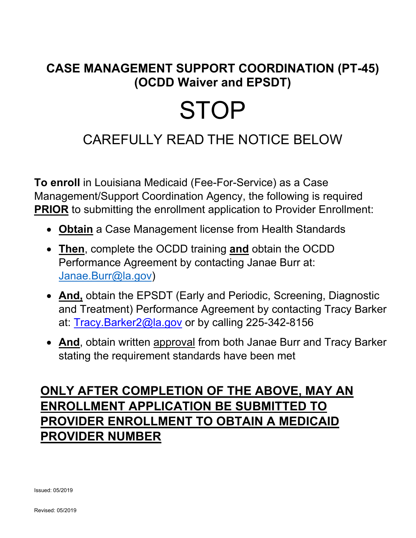### **CASE MANAGEMENT SUPPORT COORDINATION (PT-45) (OCDD Waiver and EPSDT)**

# **STOP**

## CAREFULLY READ THE NOTICE BELOW

**To enroll** in Louisiana Medicaid (Fee-For-Service) as a Case Management/Support Coordination Agency, the following is required **PRIOR** to submitting the enrollment application to Provider Enrollment:

- **Obtain** a Case Management license from Health Standards
- **Then**, complete the OCDD training **and** obtain the OCDD Performance Agreement by contacting Janae Burr at: Janae.Burr@la.gov)
- **And,** obtain the EPSDT (Early and Periodic, Screening, Diagnostic and Treatment) Performance Agreement by contacting Tracy Barker at: Tracy.Barker2@la.gov or by calling 225-342-8156
- **And**, obtain written approval from both Janae Burr and Tracy Barker stating the requirement standards have been met

### **ONLY AFTER COMPLETION OF THE ABOVE, MAY AN ENROLLMENT APPLICATION BE SUBMITTED TO PROVIDER ENROLLMENT TO OBTAIN A MEDICAID PROVIDER NUMBER**

Issued: 05/2019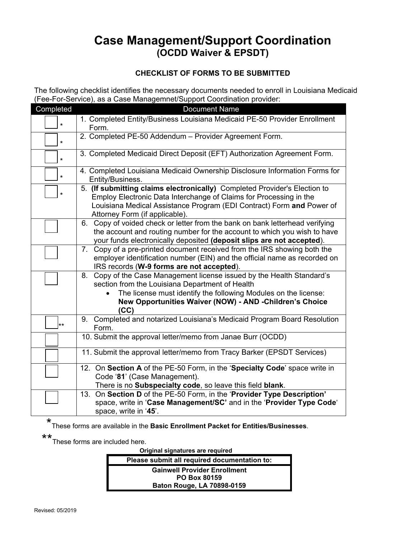#### **Case Management/Support Coordination (OCDD Waiver & EPSDT)**

#### **CHECKLIST OF FORMS TO BE SUBMITTED**

The following checklist identifies the necessary documents needed to enroll in Louisiana Medicaid (Fee-For-Service), as a Case Managemnet/Support Coordination provider:

| Completed    | <b>Document Name</b>                                                                                                                                                                                                                                       |
|--------------|------------------------------------------------------------------------------------------------------------------------------------------------------------------------------------------------------------------------------------------------------------|
| $\star$      | 1. Completed Entity/Business Louisiana Medicaid PE-50 Provider Enrollment<br>Form.                                                                                                                                                                         |
| $\star$      | 2. Completed PE-50 Addendum - Provider Agreement Form.                                                                                                                                                                                                     |
| $\star$      | 3. Completed Medicaid Direct Deposit (EFT) Authorization Agreement Form.                                                                                                                                                                                   |
| $\star$      | 4. Completed Louisiana Medicaid Ownership Disclosure Information Forms for<br>Entity/Business.                                                                                                                                                             |
| $\star$      | 5. (If submitting claims electronically) Completed Provider's Election to<br>Employ Electronic Data Interchange of Claims for Processing in the<br>Louisiana Medical Assistance Program (EDI Contract) Form and Power of<br>Attorney Form (if applicable). |
|              | 6. Copy of voided check or letter from the bank on bank letterhead verifying<br>the account and routing number for the account to which you wish to have<br>your funds electronically deposited (deposit slips are not accepted).                          |
|              | Copy of a pre-printed document received from the IRS showing both the<br>7.<br>employer identification number (EIN) and the official name as recorded on<br>IRS records (W-9 forms are not accepted).                                                      |
|              | Copy of the Case Management license issued by the Health Standard's<br>8.<br>section from the Louisiana Department of Health<br>The license must identify the following Modules on the license:<br>New Opportunities Waiver (NOW) - AND -Children's Choice |
|              | (CC)                                                                                                                                                                                                                                                       |
| $\star\star$ | Completed and notarized Louisiana's Medicaid Program Board Resolution<br>9.<br>Form.                                                                                                                                                                       |
|              | 10. Submit the approval letter/memo from Janae Burr (OCDD)                                                                                                                                                                                                 |
|              | 11. Submit the approval letter/memo from Tracy Barker (EPSDT Services)                                                                                                                                                                                     |
|              | 12. On Section A of the PE-50 Form, in the 'Specialty Code' space write in<br>Code '81' (Case Management).<br>There is no Subspecialty code, so leave this field blank.                                                                                    |
|              | 13. On Section D of the PE-50 Form, in the 'Provider Type Description'<br>space, write in 'Case Management/SC' and in the 'Provider Type Code'<br>space, write in '45'.                                                                                    |

\* These forms are available in the **Basic Enrollment Packet for Entities/Businesses**.

\*\*<br>These forms are included here.

 **Original signatures are required** 

**Please submit all required documentation to: Gainwell Provider Enrollment PO Box 80159 Baton Rouge, LA 70898-0159**